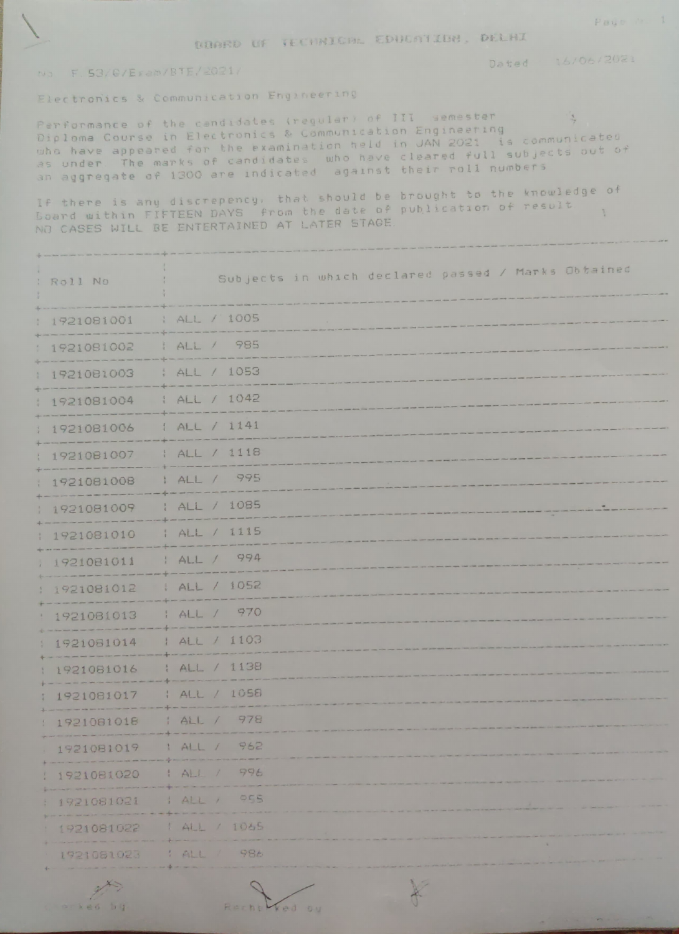DERRD OF TECHNICAL EDUCATION, DELHI

16/06/2021 Dated

## NJ F. 53/G/Eram/BTE/2021/

Electronics & Communication Engineering

Performance of the candidates (regular) of III semester  $\frac{1}{2}$ Diploma Course in Electronics & Communication Engineering who have appeared for the examination held in JAN 2021 is communicated as under. The marks of candidates who have cleared full subjects out of an aggregate of 1300 are indicated against their roll numbers

If there is any discrepency, that should be brought to the knowledge of Board within FIFTEEN DAYS from the date of publication of result.  $\chi$ NO CASES WILL BE ENTERTAINED AT LATER STAGE.

| : Roll No    | Subjects in which declared passed / Marks Obtained |
|--------------|----------------------------------------------------|
| 1921081001   | : ALL / 1005                                       |
| 1921081002   | ALL / 985                                          |
| 1921081003   | ALL / 1053                                         |
| 1921081004   | ALL / 1042                                         |
| 1921081006   | 1 ALL / 1141                                       |
| 1921081007   | : ALL / 1118                                       |
| : 1921081008 | ALL / 995                                          |
| 1921081009   | : ALL / 1085                                       |
| 1921081010   | 1 ALL / 1115                                       |
| 1921081011   | : ALL / 994                                        |
| 1921081012   | ALL / 1052                                         |
| 1921081013   | : ALL / 970                                        |
| 1921081014   | 1 ALL / 1103                                       |
| 1921081016   | : ALL / 1138                                       |
| 1921081017   | ALL / 1058                                         |
| 1921081018   | 1 ALL / 978                                        |
| 1921081019   | 1 ALL / 962                                        |
| 1921081020   | 1 ALL / 996                                        |
| 1921081021   | 1 ALL / 055                                        |
| 1921081022   | 1 ALL / 1065                                       |
| 1921061023   | $\mathbf{R}$<br>98t<br>1ALL                        |

 $\rightarrow$ orked hi

Ad ou

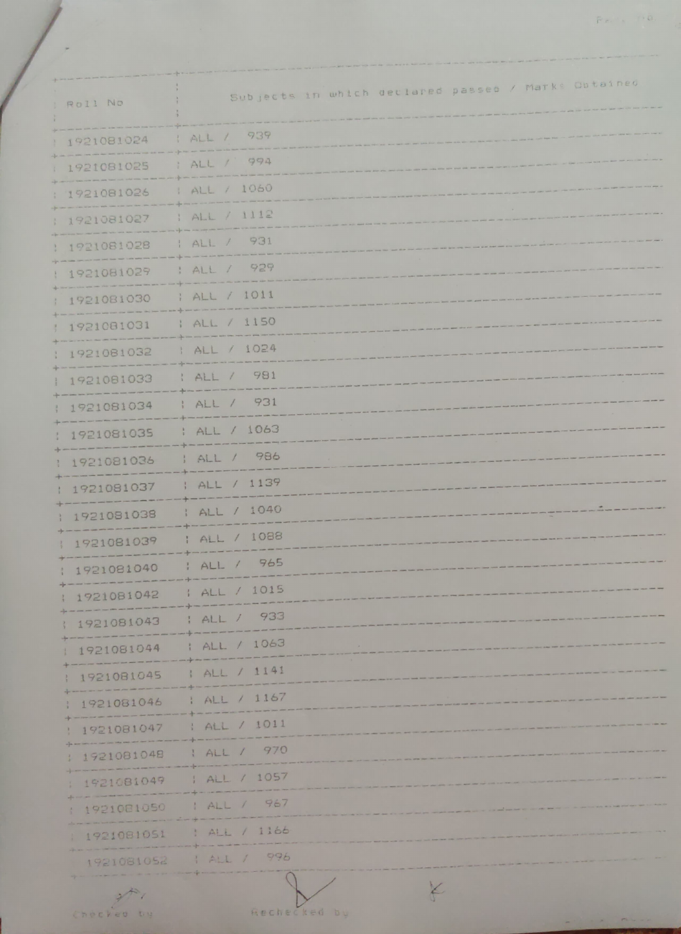| Roll No       | Subjects in which declared passed / Marks Obtained |
|---------------|----------------------------------------------------|
| 1921081024    | 1 ALL / 939                                        |
| 1921081025    | : ALL / 994                                        |
| 1921081026    | 1 ALL / 1060                                       |
| 1921081027    | $;$ ALL $/$ 1112                                   |
| 1921081028    | ALL / 931                                          |
| 1921081029    | : ALL / 929                                        |
| 1921081030    | ; ALL / 1011                                       |
| 1921081031    | ALL / 1150                                         |
| 1921081032    | 1 ALL / 1024                                       |
| 1921081033    | : ALL / 981                                        |
| 1921081034    | ALL / 931                                          |
| 1921081035    | : ALL / 1063                                       |
| 1921081036    | ; ALL / 986                                        |
| 1921081037    | ALL / 1139                                         |
| 1921081038    | : ALL / 1040                                       |
| 1921081039    | ALL / 1088                                         |
| 1 1921081040  | : ALL / 965                                        |
| 1 1921081042  | 1 ALL / 1015                                       |
| 1921081043    | 1 ALL / 933                                        |
| 1921081044    | : ALL / 1063                                       |
| 1921081045    | 1 ALL / 1141                                       |
| 1921081046    | 1 ALL / 1167                                       |
| 1921081047    | : ALL / 1011                                       |
| 1 1921081048  | 1 ALL / 970                                        |
| 1 1921081049  | : ALL / 1057                                       |
| 1 1921081050  | 1 ALL / 967                                        |
| 1 1921081051  | : ALL / 1166                                       |
|               | 1921081052 1 ALL / 996                             |
| $\rightarrow$ | X                                                  |

Checked by

Rechecked by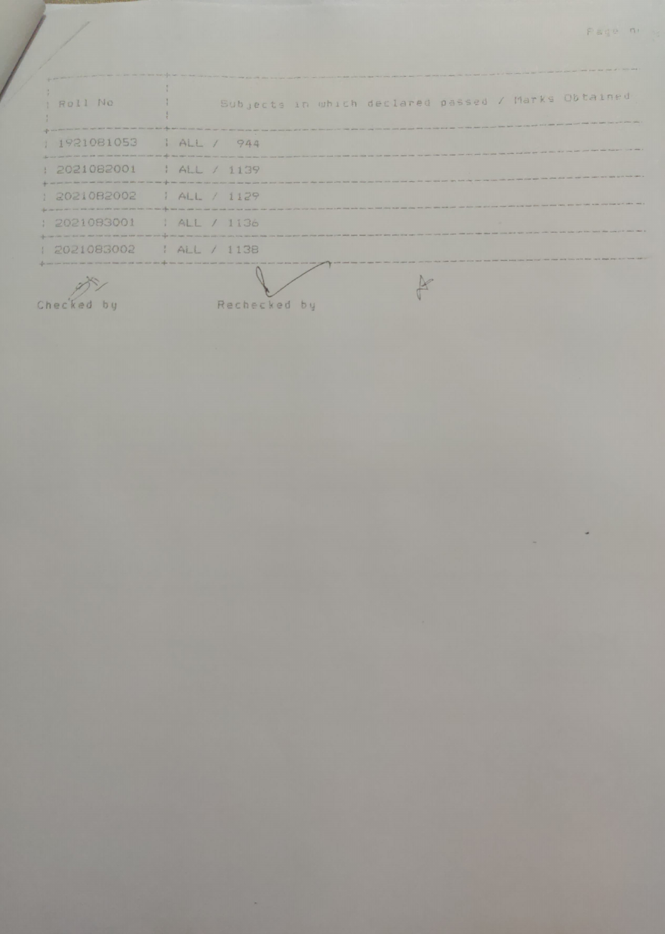| I Roll No                 | Subjects in which declared passed / Marks Obtained                                                                                                                                                                             |
|---------------------------|--------------------------------------------------------------------------------------------------------------------------------------------------------------------------------------------------------------------------------|
|                           | the them when only your price work work and love your build and was them take plain your word from facts town of an analy work your price<br>writer agent, though comparisonally point and/or children statest provid-         |
| $1921081053$ $14L / 944$  |                                                                                                                                                                                                                                |
| $: 2021082001$ $: 41139$  |                                                                                                                                                                                                                                |
|                           | the age post-state than one was one was not only one was also than a state of the sale and that the same and the the man calculate throw than and and the desire and man and over the was made of the same than the was that w |
| : 2021082002   ALL / 1129 | they also due to for the work and they have they have pay they are your work with your company was one way were pay that they have seen they there are                                                                         |
| : 2021083001 : ALL / 1136 | the case area and with them with him them after your cost of the color with them after their color color cost with your code color man man was as a seller or the color color color of the                                     |
|                           | subjects the first of the low of the low of the low of the low indicates and concern the low has not the low of the low of the low and the low of the low of the low of the concern of the low of the low of the low of the lo |
| : 2021083002 : ALL / 1138 |                                                                                                                                                                                                                                |
|                           | The lock than cole of the door and add how care, and into any special relat cole and point of the door point and your cole and your man of the same and then you can see you can you can you will have not then you will be th |

Checked by

A Marian

Rechecked by

×

R